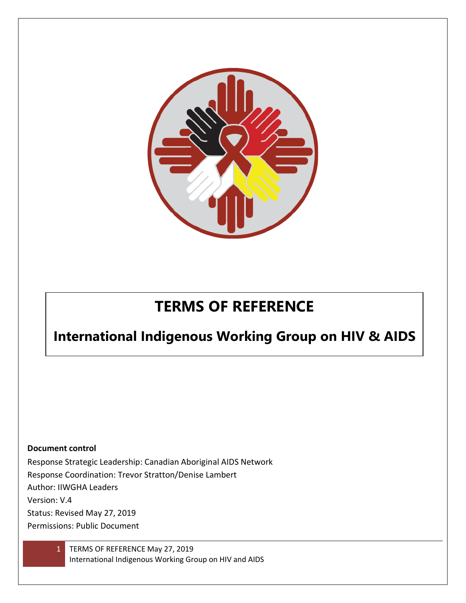

# **TERMS OF REFERENCE**

## **International Indigenous Working Group on HIV & AIDS**

**Document control**

Response Strategic Leadership: Canadian Aboriginal AIDS Network Response Coordination: Trevor Stratton/Denise Lambert Author: IIWGHA Leaders Version: V.4 Status: Revised May 27, 2019 Permissions: Public Document

> 1 TERMS OF REFERENCE May 27, 2019 International Indigenous Working Group on HIV and AIDS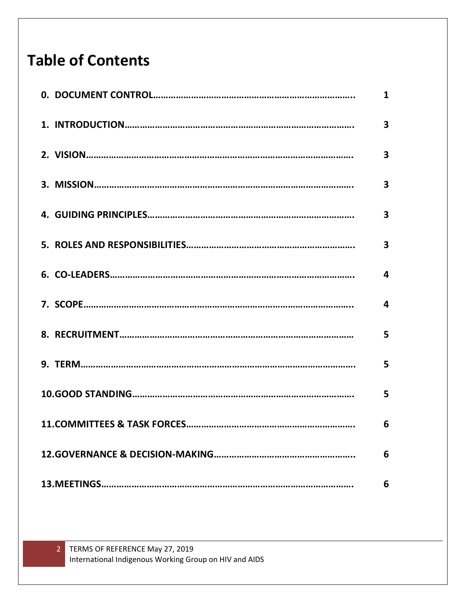## **Table of Contents**

| $\mathbf{1}$            |
|-------------------------|
| $\overline{\mathbf{3}}$ |
| $\overline{\mathbf{3}}$ |
| $\overline{\mathbf{3}}$ |
| $\overline{\mathbf{3}}$ |
| $\overline{\mathbf{3}}$ |
| 4                       |
| $\overline{\mathbf{4}}$ |
| 5                       |
| 5                       |
| 5                       |
| 6                       |
| 6                       |
| 6                       |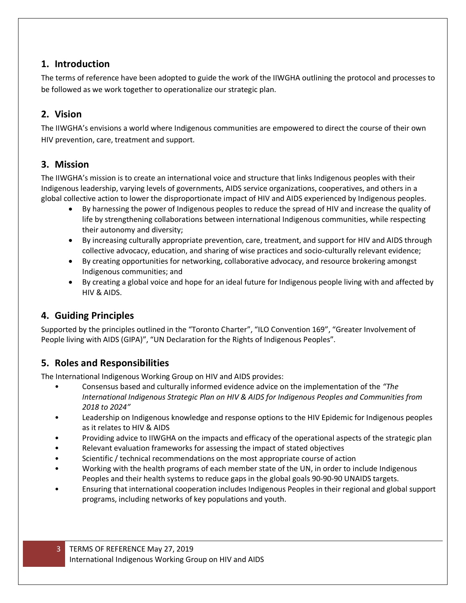## **1. Introduction**

The terms of reference have been adopted to guide the work of the IIWGHA outlining the protocol and processes to be followed as we work together to operationalize our strategic plan.

## **2. Vision**

The IIWGHA's envisions a world where Indigenous communities are empowered to direct the course of their own HIV prevention, care, treatment and support.

## **3. Mission**

The IIWGHA's mission is to create an international voice and structure that links Indigenous peoples with their Indigenous leadership, varying levels of governments, AIDS service organizations, cooperatives, and others in a global collective action to lower the disproportionate impact of HIV and AIDS experienced by Indigenous peoples.

- By harnessing the power of Indigenous peoples to reduce the spread of HIV and increase the quality of life by strengthening collaborations between international Indigenous communities, while respecting their autonomy and diversity;
- By increasing culturally appropriate prevention, care, treatment, and support for HIV and AIDS through collective advocacy, education, and sharing of wise practices and socio-culturally relevant evidence;
- By creating opportunities for networking, collaborative advocacy, and resource brokering amongst Indigenous communities; and
- By creating a global voice and hope for an ideal future for Indigenous people living with and affected by HIV & AIDS.

## **4. Guiding Principles**

Supported by the principles outlined in the "Toronto Charter", "ILO Convention 169", "Greater Involvement of People living with AIDS (GIPA)", "UN Declaration for the Rights of Indigenous Peoples".

## **5. Roles and Responsibilities**

The International Indigenous Working Group on HIV and AIDS provides:

- Consensus based and culturally informed evidence advice on the implementation of the *"The International Indigenous Strategic Plan on HIV & AIDS for Indigenous Peoples and Communities from 2018 to 2024"*
- Leadership on Indigenous knowledge and response options to the HIV Epidemic for Indigenous peoples as it relates to HIV & AIDS
- Providing advice to IIWGHA on the impacts and efficacy of the operational aspects of the strategic plan
- Relevant evaluation frameworks for assessing the impact of stated objectives
- Scientific / technical recommendations on the most appropriate course of action
- Working with the health programs of each member state of the UN, in order to include Indigenous Peoples and their health systems to reduce gaps in the global goals 90-90-90 UNAIDS targets.
- Ensuring that international cooperation includes Indigenous Peoples in their regional and global support programs, including networks of key populations and youth.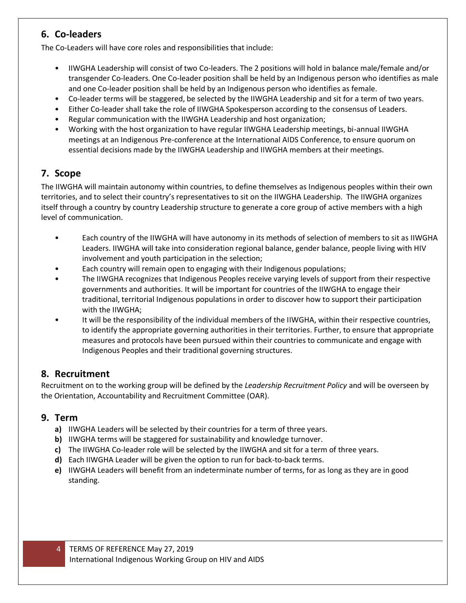## **6. Co-leaders**

The Co-Leaders will have core roles and responsibilities that include:

- IIWGHA Leadership will consist of two Co-leaders. The 2 positions will hold in balance male/female and/or transgender Co-leaders. One Co-leader position shall be held by an Indigenous person who identifies as male and one Co-leader position shall be held by an Indigenous person who identifies as female.
- Co-leader terms will be staggered, be selected by the IIWGHA Leadership and sit for a term of two years.
- Either Co-leader shall take the role of IIWGHA Spokesperson according to the consensus of Leaders.
- Regular communication with the IIWGHA Leadership and host organization;
- Working with the host organization to have regular IIWGHA Leadership meetings, bi-annual IIWGHA meetings at an Indigenous Pre-conference at the International AIDS Conference, to ensure quorum on essential decisions made by the IIWGHA Leadership and IIWGHA members at their meetings.

## **7. Scope**

The IIWGHA will maintain autonomy within countries, to define themselves as Indigenous peoples within their own territories, and to select their country's representatives to sit on the IIWGHA Leadership. The IIWGHA organizes itself through a country by country Leadership structure to generate a core group of active members with a high level of communication.

- Each country of the IIWGHA will have autonomy in its methods of selection of members to sit as IIWGHA Leaders. IIWGHA will take into consideration regional balance, gender balance, people living with HIV involvement and youth participation in the selection;
- Each country will remain open to engaging with their Indigenous populations;
- The IIWGHA recognizes that Indigenous Peoples receive varying levels of support from their respective governments and authorities. It will be important for countries of the IIWGHA to engage their traditional, territorial Indigenous populations in order to discover how to support their participation with the IIWGHA;
- It will be the responsibility of the individual members of the IIWGHA, within their respective countries, to identify the appropriate governing authorities in their territories. Further, to ensure that appropriate measures and protocols have been pursued within their countries to communicate and engage with Indigenous Peoples and their traditional governing structures.

### **8. Recruitment**

Recruitment on to the working group will be defined by the *Leadership Recruitment Policy* and will be overseen by the Orientation, Accountability and Recruitment Committee (OAR).

#### **9. Term**

- **a)** IIWGHA Leaders will be selected by their countries for a term of three years.
- **b)** IIWGHA terms will be staggered for sustainability and knowledge turnover.
- **c)** The IIWGHA Co-leader role will be selected by the IIWGHA and sit for a term of three years.
- **d)** Each IIWGHA Leader will be given the option to run for back-to-back terms.
- **e)** IIWGHA Leaders will benefit from an indeterminate number of terms, for as long as they are in good standing.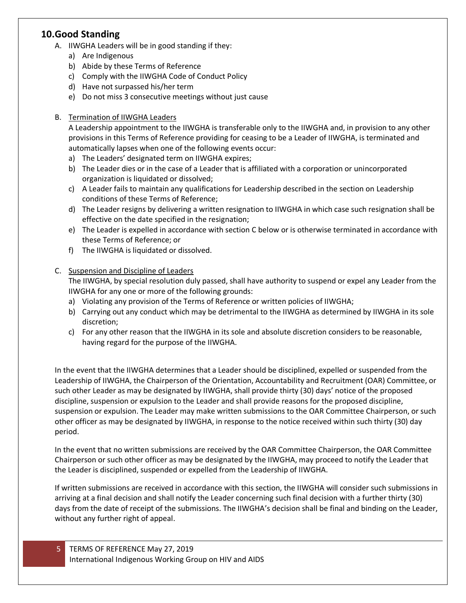### **10.Good Standing**

- A. IIWGHA Leaders will be in good standing if they:
	- a) Are Indigenous
	- b) Abide by these Terms of Reference
	- c) Comply with the IIWGHA Code of Conduct Policy
	- d) Have not surpassed his/her term
	- e) Do not miss 3 consecutive meetings without just cause

#### B. Termination of IIWGHA Leaders

A Leadership appointment to the IIWGHA is transferable only to the IIWGHA and, in provision to any other provisions in this Terms of Reference providing for ceasing to be a Leader of IIWGHA, is terminated and automatically lapses when one of the following events occur:

- a) The Leaders' designated term on IIWGHA expires;
- b) The Leader dies or in the case of a Leader that is affiliated with a corporation or unincorporated organization is liquidated or dissolved;
- c) A Leader fails to maintain any qualifications for Leadership described in the section on Leadership conditions of these Terms of Reference;
- d) The Leader resigns by delivering a written resignation to IIWGHA in which case such resignation shall be effective on the date specified in the resignation;
- e) The Leader is expelled in accordance with section C below or is otherwise terminated in accordance with these Terms of Reference; or
- f) The IIWGHA is liquidated or dissolved.

#### C. Suspension and Discipline of Leaders

The IIWGHA, by special resolution duly passed, shall have authority to suspend or expel any Leader from the IIWGHA for any one or more of the following grounds:

- a) Violating any provision of the Terms of Reference or written policies of IIWGHA;
- b) Carrying out any conduct which may be detrimental to the IIWGHA as determined by IIWGHA in its sole discretion;
- c) For any other reason that the IIWGHA in its sole and absolute discretion considers to be reasonable, having regard for the purpose of the IIWGHA.

In the event that the IIWGHA determines that a Leader should be disciplined, expelled or suspended from the Leadership of IIWGHA, the Chairperson of the Orientation, Accountability and Recruitment (OAR) Committee, or such other Leader as may be designated by IIWGHA, shall provide thirty (30) days' notice of the proposed discipline, suspension or expulsion to the Leader and shall provide reasons for the proposed discipline, suspension or expulsion. The Leader may make written submissions to the OAR Committee Chairperson, or such other officer as may be designated by IIWGHA, in response to the notice received within such thirty (30) day period.

In the event that no written submissions are received by the OAR Committee Chairperson, the OAR Committee Chairperson or such other officer as may be designated by the IIWGHA, may proceed to notify the Leader that the Leader is disciplined, suspended or expelled from the Leadership of IIWGHA.

If written submissions are received in accordance with this section, the IIWGHA will consider such submissions in arriving at a final decision and shall notify the Leader concerning such final decision with a further thirty (30) days from the date of receipt of the submissions. The IIWGHA's decision shall be final and binding on the Leader, without any further right of appeal.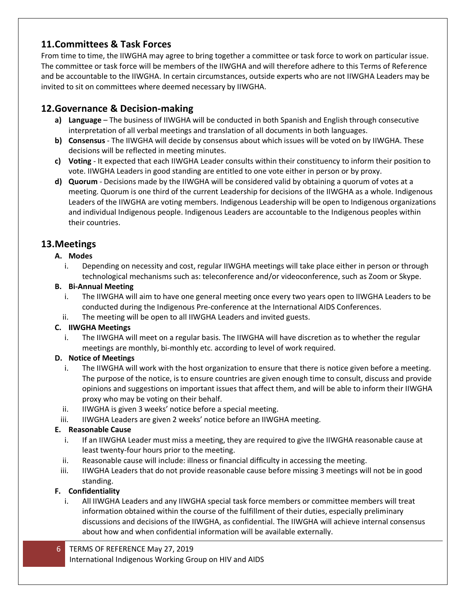## **11.Committees & Task Forces**

From time to time, the IIWGHA may agree to bring together a committee or task force to work on particular issue. The committee or task force will be members of the IIWGHA and will therefore adhere to this Terms of Reference and be accountable to the IIWGHA. In certain circumstances, outside experts who are not IIWGHA Leaders may be invited to sit on committees where deemed necessary by IIWGHA.

## **12.Governance & Decision-making**

- **a) Language** The business of IIWGHA will be conducted in both Spanish and English through consecutive interpretation of all verbal meetings and translation of all documents in both languages.
- **b) Consensus**  The IIWGHA will decide by consensus about which issues will be voted on by IIWGHA. These decisions will be reflected in meeting minutes.
- **c) Voting** It expected that each IIWGHA Leader consults within their constituency to inform their position to vote. IIWGHA Leaders in good standing are entitled to one vote either in person or by proxy.
- **d) Quorum** Decisions made by the IIWGHA will be considered valid by obtaining a quorum of votes at a meeting. Quorum is one third of the current Leadership for decisions of the IIWGHA as a whole. Indigenous Leaders of the IIWGHA are voting members. Indigenous Leadership will be open to Indigenous organizations and individual Indigenous people. Indigenous Leaders are accountable to the Indigenous peoples within their countries.

## **13.Meetings**

#### **A. Modes**

i. Depending on necessity and cost, regular IIWGHA meetings will take place either in person or through technological mechanisms such as: teleconference and/or videoconference, such as Zoom or Skype.

#### **B. Bi-Annual Meeting**

- i. The IIWGHA will aim to have one general meeting once every two years open to IIWGHA Leaders to be conducted during the Indigenous Pre-conference at the International AIDS Conferences.
- ii. The meeting will be open to all IIWGHA Leaders and invited guests.

#### **C. IIWGHA Meetings**

i. The IIWGHA will meet on a regular basis. The IIWGHA will have discretion as to whether the regular meetings are monthly, bi-monthly etc. according to level of work required.

#### **D. Notice of Meetings**

- i. The IIWGHA will work with the host organization to ensure that there is notice given before a meeting. The purpose of the notice, is to ensure countries are given enough time to consult, discuss and provide opinions and suggestions on important issues that affect them, and will be able to inform their IIWGHA proxy who may be voting on their behalf.
- ii. IIWGHA is given 3 weeks' notice before a special meeting.
- iii. IIWGHA Leaders are given 2 weeks' notice before an IIWGHA meeting.

#### **E. Reasonable Cause**

- i. If an IIWGHA Leader must miss a meeting, they are required to give the IIWGHA reasonable cause at least twenty-four hours prior to the meeting.
- ii. Reasonable cause will include: illness or financial difficulty in accessing the meeting.
- iii. IIWGHA Leaders that do not provide reasonable cause before missing 3 meetings will not be in good standing.

#### **F. Confidentiality**

i. All IIWGHA Leaders and any IIWGHA special task force members or committee members will treat information obtained within the course of the fulfillment of their duties, especially preliminary discussions and decisions of the IIWGHA, as confidential. The IIWGHA will achieve internal consensus about how and when confidential information will be available externally.